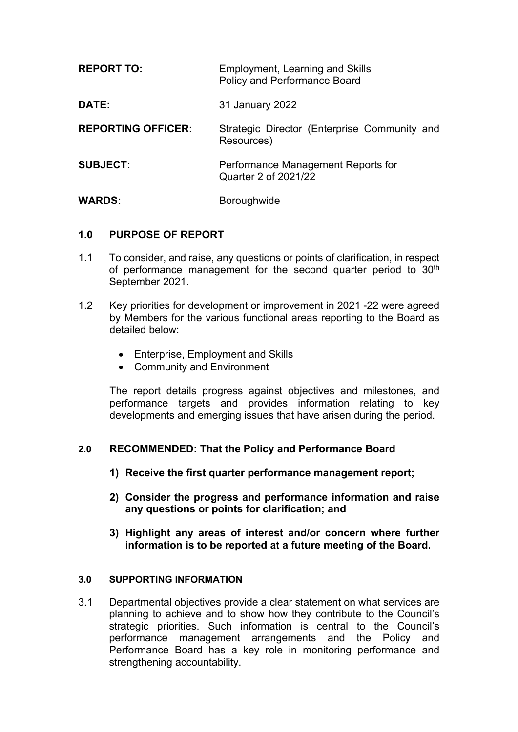| <b>REPORT TO:</b>         | Employment, Learning and Skills<br><b>Policy and Performance Board</b> |
|---------------------------|------------------------------------------------------------------------|
| <b>DATE:</b>              | 31 January 2022                                                        |
| <b>REPORTING OFFICER:</b> | Strategic Director (Enterprise Community and<br>Resources)             |
| <b>SUBJECT:</b>           | Performance Management Reports for<br>Quarter 2 of 2021/22             |
| <b>WARDS:</b>             | <b>Boroughwide</b>                                                     |

## **1.0 PURPOSE OF REPORT**

- 1.1 To consider, and raise, any questions or points of clarification, in respect of performance management for the second quarter period to 30<sup>th</sup> September 2021.
- 1.2 Key priorities for development or improvement in 2021 -22 were agreed by Members for the various functional areas reporting to the Board as detailed below:
	- Enterprise, Employment and Skills
	- Community and Environment

The report details progress against objectives and milestones, and performance targets and provides information relating to key developments and emerging issues that have arisen during the period.

## **2.0 RECOMMENDED: That the Policy and Performance Board**

- **1) Receive the first quarter performance management report;**
- **2) Consider the progress and performance information and raise any questions or points for clarification; and**
- **3) Highlight any areas of interest and/or concern where further information is to be reported at a future meeting of the Board.**

## **3.0 SUPPORTING INFORMATION**

3.1 Departmental objectives provide a clear statement on what services are planning to achieve and to show how they contribute to the Council's strategic priorities. Such information is central to the Council's performance management arrangements and the Policy and Performance Board has a key role in monitoring performance and strengthening accountability.